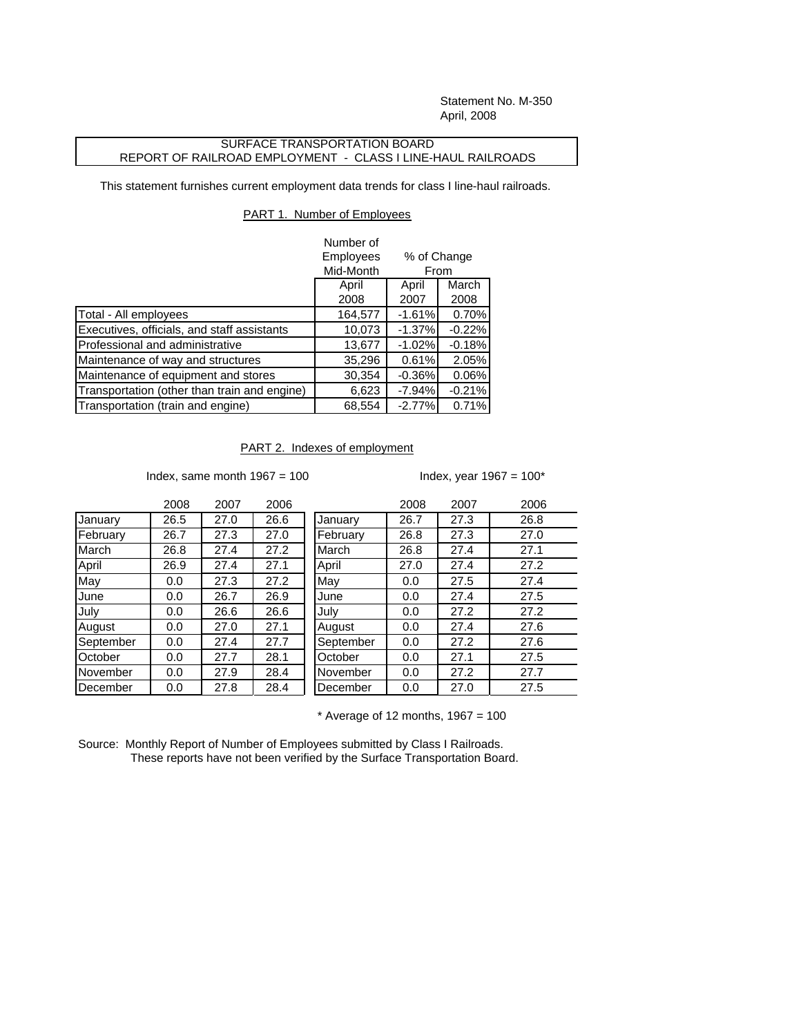Statement No. M-350 April, 2008

## SURFACE TRANSPORTATION BOARD REPORT OF RAILROAD EMPLOYMENT - CLASS I LINE-HAUL RAILROADS

This statement furnishes current employment data trends for class I line-haul railroads.

## PART 1. Number of Employees

|                                              | Number of |                     |          |
|----------------------------------------------|-----------|---------------------|----------|
|                                              | Employees | % of Change<br>From |          |
|                                              | Mid-Month |                     |          |
|                                              | April     | April               | March    |
|                                              | 2008      | 2007                | 2008     |
| Total - All employees                        | 164,577   | $-1.61%$            | 0.70%    |
| Executives, officials, and staff assistants  | 10,073    | $-1.37%$            | $-0.22%$ |
| Professional and administrative              | 13,677    | $-1.02%$            | $-0.18%$ |
| Maintenance of way and structures            | 35,296    | 0.61%               | 2.05%    |
| Maintenance of equipment and stores          | 30,354    | $-0.36%$            | 0.06%    |
| Transportation (other than train and engine) | 6,623     | $-7.94\%$           | $-0.21%$ |
| Transportation (train and engine)            | 68,554    | $-2.77%$            | 0.71%    |

## PART 2. Indexes of employment

Index, same month  $1967 = 100$  Index, year  $1967 = 100^*$ 

|           | 2008 | 2007 | 2006 |           | 2008 | 2007 | 2006 |
|-----------|------|------|------|-----------|------|------|------|
| January   | 26.5 | 27.0 | 26.6 | January   | 26.7 | 27.3 | 26.8 |
| February  | 26.7 | 27.3 | 27.0 | February  | 26.8 | 27.3 | 27.0 |
| March     | 26.8 | 27.4 | 27.2 | March     | 26.8 | 27.4 | 27.1 |
| April     | 26.9 | 27.4 | 27.1 | April     | 27.0 | 27.4 | 27.2 |
| May       | 0.0  | 27.3 | 27.2 | May       | 0.0  | 27.5 | 27.4 |
| June      | 0.0  | 26.7 | 26.9 | June      | 0.0  | 27.4 | 27.5 |
| Julv      | 0.0  | 26.6 | 26.6 | July      | 0.0  | 27.2 | 27.2 |
| August    | 0.0  | 27.0 | 27.1 | August    | 0.0  | 27.4 | 27.6 |
| September | 0.0  | 27.4 | 27.7 | September | 0.0  | 27.2 | 27.6 |
| October   | 0.0  | 27.7 | 28.1 | October   | 0.0  | 27.1 | 27.5 |
| November  | 0.0  | 27.9 | 28.4 | November  | 0.0  | 27.2 | 27.7 |
| December  | 0.0  | 27.8 | 28.4 | December  | 0.0  | 27.0 | 27.5 |
|           |      |      |      |           |      |      |      |

 $*$  Average of 12 months, 1967 = 100

Source: Monthly Report of Number of Employees submitted by Class I Railroads. These reports have not been verified by the Surface Transportation Board.